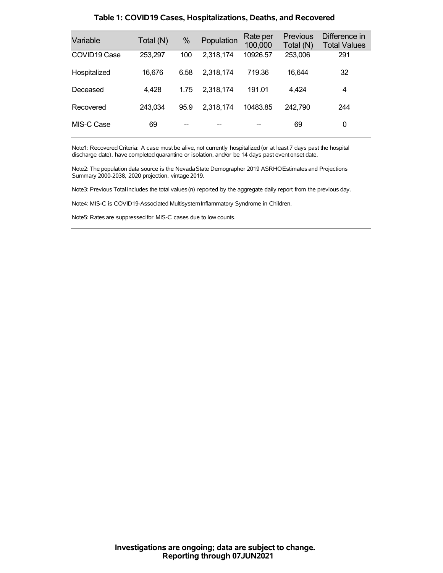| Variable     | Total (N) | %    | Population | Rate per<br>100,000 | <b>Previous</b><br>Total (N) | Difference in<br><b>Total Values</b> |
|--------------|-----------|------|------------|---------------------|------------------------------|--------------------------------------|
| COVID19 Case | 253,297   | 100  | 2,318,174  | 10926.57            | 253,006                      | 291                                  |
| Hospitalized | 16,676    | 6.58 | 2,318,174  | 719.36              | 16,644                       | 32                                   |
| Deceased     | 4,428     | 1.75 | 2,318,174  | 191.01              | 4,424                        | 4                                    |
| Recovered    | 243,034   | 95.9 | 2,318,174  | 10483.85            | 242,790                      | 244                                  |
| MIS-C Case   | 69        |      |            |                     | 69                           | 0                                    |

### **Table 1: COVID19 Cases, Hospitalizations, Deaths, and Recovered**

Note1: Recovered Criteria: A case must be alive, not currently hospitalized (or at least 7 days past the hospital discharge date), have completed quarantine or isolation, and/or be 14 days past event onset date.

Note2: The population data source is the Nevada State Demographer 2019 ASRHOEstimates and Projections Summary 2000-2038, 2020 projection, vintage 2019.

Note3: Previous Total includes the total values(n) reported by the aggregate daily report from the previous day.

Note4: MIS-C is COVID19-Associated MultisystemInflammatory Syndrome in Children.

Note5: Rates are suppressed for MIS-C cases due to low counts.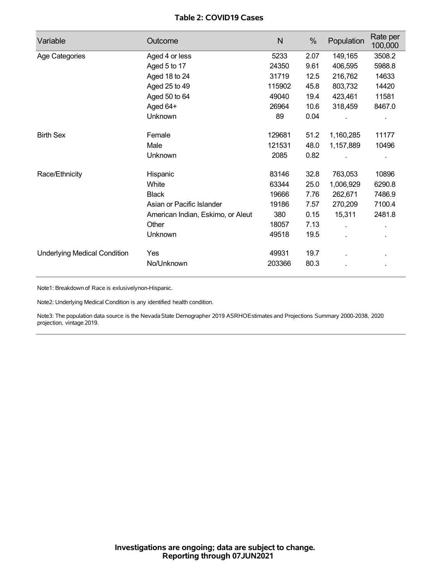## **Table 2: COVID19 Cases**

| Variable                            | Outcome                           | $\mathsf{N}$ | %    | Population | Rate per<br>100,000 |
|-------------------------------------|-----------------------------------|--------------|------|------------|---------------------|
| Age Categories                      | Aged 4 or less                    | 5233         | 2.07 | 149,165    | 3508.2              |
|                                     | Aged 5 to 17                      | 24350        | 9.61 | 406,595    | 5988.8              |
|                                     | Aged 18 to 24                     | 31719        | 12.5 | 216,762    | 14633               |
|                                     | Aged 25 to 49                     | 115902       | 45.8 | 803,732    | 14420               |
|                                     | Aged 50 to 64                     | 49040        | 19.4 | 423,461    | 11581               |
|                                     | Aged 64+                          | 26964        | 10.6 | 318,459    | 8467.0              |
|                                     | Unknown                           | 89           | 0.04 |            |                     |
| <b>Birth Sex</b>                    | Female                            | 129681       | 51.2 | 1,160,285  | 11177               |
|                                     | Male                              | 121531       | 48.0 | 1,157,889  | 10496               |
|                                     | Unknown                           | 2085         | 0.82 |            |                     |
| Race/Ethnicity                      | Hispanic                          | 83146        | 32.8 | 763,053    | 10896               |
|                                     | White                             | 63344        | 25.0 | 1,006,929  | 6290.8              |
|                                     | <b>Black</b>                      | 19666        | 7.76 | 262,671    | 7486.9              |
|                                     | Asian or Pacific Islander         | 19186        | 7.57 | 270,209    | 7100.4              |
|                                     | American Indian, Eskimo, or Aleut | 380          | 0.15 | 15,311     | 2481.8              |
|                                     | Other                             | 18057        | 7.13 |            |                     |
|                                     | <b>Unknown</b>                    | 49518        | 19.5 |            |                     |
| <b>Underlying Medical Condition</b> | Yes                               | 49931        | 19.7 |            |                     |
|                                     | No/Unknown                        | 203366       | 80.3 |            |                     |

Note1: Breakdown of Race is exlusivelynon-Hispanic.

Note2: Underlying Medical Condition is any identified health condition.

Note3: The population data source is the NevadaState Demographer 2019 ASRHOEstimates and Projections Summary 2000-2038, 2020 projection, vintage 2019.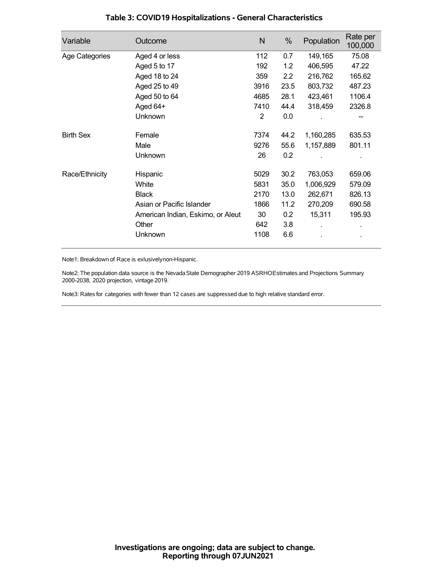| Variable         | Outcome                           | N    | %    | Population | Rate per<br>100,000 |
|------------------|-----------------------------------|------|------|------------|---------------------|
| Age Categories   | Aged 4 or less                    | 112  | 0.7  | 149,165    | 75.08               |
|                  | Aged 5 to 17                      | 192  | 1.2  | 406,595    | 47.22               |
|                  | Aged 18 to 24                     | 359  | 2.2  | 216,762    | 165.62              |
|                  | Aged 25 to 49                     | 3916 | 23.5 | 803,732    | 487.23              |
|                  | Aged 50 to 64                     | 4685 | 28.1 | 423,461    | 1106.4              |
|                  | Aged 64+                          | 7410 | 44.4 | 318,459    | 2326.8              |
|                  | Unknown                           | 2    | 0.0  |            |                     |
| <b>Birth Sex</b> | Female                            | 7374 | 44.2 | 1,160,285  | 635.53              |
|                  | Male                              | 9276 | 55.6 | 1,157,889  | 801.11              |
|                  | <b>Unknown</b>                    | 26   | 0.2  |            |                     |
| Race/Ethnicity   | Hispanic                          | 5029 | 30.2 | 763,053    | 659.06              |
|                  | White                             | 5831 | 35.0 | 1,006,929  | 579.09              |
|                  | <b>Black</b>                      | 2170 | 13.0 | 262,671    | 826.13              |
|                  | Asian or Pacific Islander         | 1866 | 11.2 | 270,209    | 690.58              |
|                  | American Indian, Eskimo, or Aleut | 30   | 0.2  | 15,311     | 195.93              |
|                  | Other                             | 642  | 3.8  |            |                     |
|                  | Unknown                           | 1108 | 6.6  |            |                     |

## **Table 3: COVID19 Hospitalizations - General Characteristics**

Note1: Breakdown of Race is exlusivelynon-Hispanic.

Note2: The population data source is the Nevada State Demographer 2019 ASRHOEstimates and Projections Summary 2000-2038, 2020 projection, vintage 2019.

Note3: Rates for categories with fewer than 12 cases are suppressed due to high relative standard error.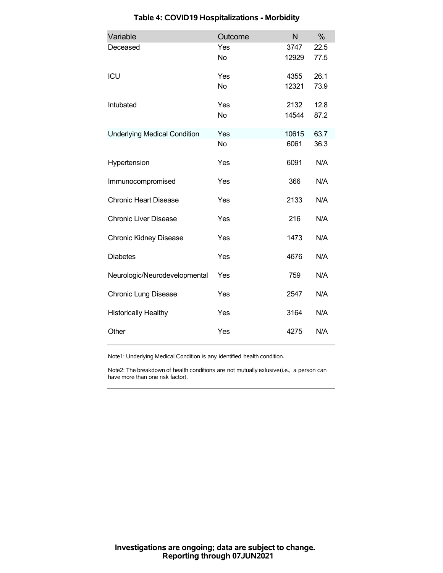| Variable                            | Outcome   | N     | $\%$ |
|-------------------------------------|-----------|-------|------|
| Deceased                            | Yes       | 3747  | 22.5 |
|                                     | <b>No</b> | 12929 | 77.5 |
| ICU                                 | Yes       | 4355  | 26.1 |
|                                     | <b>No</b> | 12321 | 73.9 |
| Intubated                           | Yes       | 2132  | 12.8 |
|                                     | <b>No</b> | 14544 | 87.2 |
| <b>Underlying Medical Condition</b> | Yes       | 10615 | 63.7 |
|                                     | <b>No</b> | 6061  | 36.3 |
| Hypertension                        | Yes       | 6091  | N/A  |
| Immunocompromised                   | Yes       | 366   | N/A  |
| <b>Chronic Heart Disease</b>        | Yes       | 2133  | N/A  |
| <b>Chronic Liver Disease</b>        | Yes       | 216   | N/A  |
| <b>Chronic Kidney Disease</b>       | Yes       | 1473  | N/A  |
| <b>Diabetes</b>                     | Yes       | 4676  | N/A  |
| Neurologic/Neurodevelopmental       | Yes       | 759   | N/A  |
| <b>Chronic Lung Disease</b>         | Yes       | 2547  | N/A  |
| <b>Historically Healthy</b>         | Yes       | 3164  | N/A  |
| Other                               | Yes       | 4275  | N/A  |

# **Table 4: COVID19 Hospitalizations - Morbidity**

Note1: Underlying Medical Condition is any identified health condition.

Note2: The breakdown of health conditions are not mutually exlusive(i.e., a person can have more than one risk factor).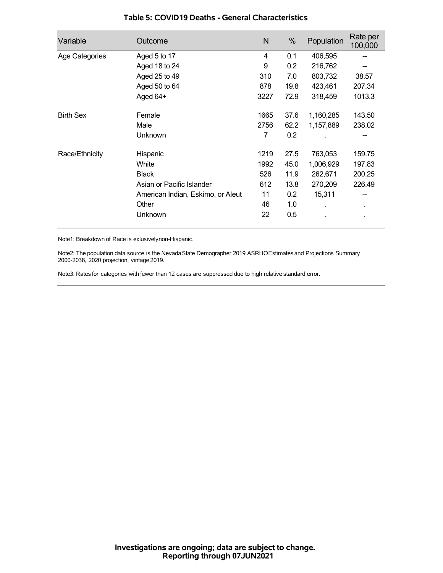| Variable         | Outcome                           | N    | %    | Population | Rate per<br>100,000 |
|------------------|-----------------------------------|------|------|------------|---------------------|
| Age Categories   | Aged 5 to 17                      | 4    | 0.1  | 406,595    |                     |
|                  | Aged 18 to 24                     | 9    | 0.2  | 216,762    |                     |
|                  | Aged 25 to 49                     | 310  | 7.0  | 803,732    | 38.57               |
|                  | Aged 50 to 64                     | 878  | 19.8 | 423,461    | 207.34              |
|                  | Aged 64+                          | 3227 | 72.9 | 318,459    | 1013.3              |
| <b>Birth Sex</b> | Female                            | 1665 | 37.6 | 1,160,285  | 143.50              |
|                  | Male                              | 2756 | 62.2 | 1,157,889  | 238.02              |
|                  | Unknown                           | 7    | 0.2  |            |                     |
| Race/Ethnicity   | Hispanic                          | 1219 | 27.5 | 763,053    | 159.75              |
|                  | White                             | 1992 | 45.0 | 1,006,929  | 197.83              |
|                  | <b>Black</b>                      | 526  | 11.9 | 262,671    | 200.25              |
|                  | Asian or Pacific Islander         | 612  | 13.8 | 270,209    | 226.49              |
|                  | American Indian, Eskimo, or Aleut | 11   | 0.2  | 15,311     |                     |
|                  | Other                             | 46   | 1.0  |            | ٠                   |
|                  | Unknown                           | 22   | 0.5  |            |                     |

### **Table 5: COVID19 Deaths - General Characteristics**

Note1: Breakdown of Race is exlusivelynon-Hispanic.

Note2: The population data source is the Nevada State Demographer 2019 ASRHOEstimates and Projections Summary 2000-2038, 2020 projection, vintage 2019.

Note3: Rates for categories with fewer than 12 cases are suppressed due to high relative standard error.